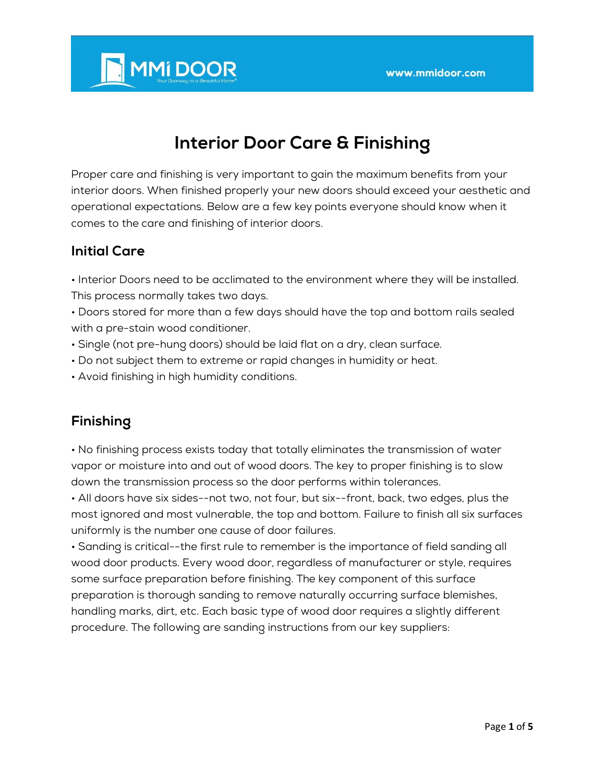

# **Interior Door Care & Finishing**

Proper care and finishing is very important to gain the maximum benefits from your interior doors. When finished properly your new doors should exceed your aesthetic and operational expectations. Below are a few key points everyone should know when it comes to the care and finishing of interior doors.

# **Initial Care**

• Interior Doors need to be acclimated to the environment where they will be installed. This process normally takes two days.

• Doors stored for more than a few days should have the top and bottom rails sealed with a pre-stain wood conditioner.

- Single (not pre-hung doors) should be laid flat on a dry, clean surface.
- Do not subject them to extreme or rapid changes in humidity or heat.
- Avoid finishing in high humidity conditions.

# **Finishing**

• No finishing process exists today that totally eliminates the transmission of water vapor or moisture into and out of wood doors. The key to proper finishing is to slow down the transmission process so the door performs within tolerances.

• All doors have six sides--not two, not four, but six--front, back, two edges, plus the most ignored and most vulnerable, the top and bottom. Failure to finish all six surfaces uniformly is the number one cause of door failures.

• Sanding is critical--the first rule to remember is the importance of field sanding all wood door products. Every wood door, regardless of manufacturer or style, requires some surface preparation before finishing. The key component of this surface preparation is thorough sanding to remove naturally occurring surface blemishes, handling marks, dirt, etc. Each basic type of wood door requires a slightly different procedure. The following are sanding instructions from our key suppliers: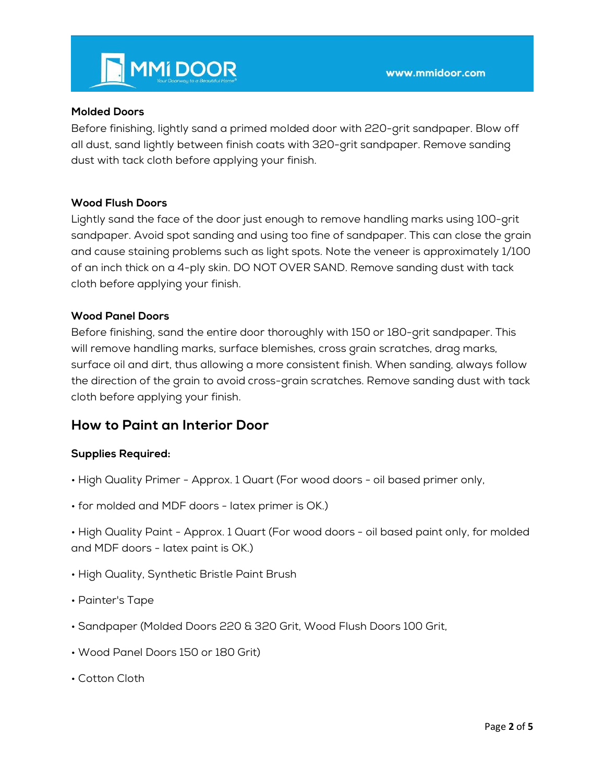

#### **Molded Doors**

Before finishing, lightly sand a primed molded door with 220-grit sandpaper. Blow off all dust, sand lightly between finish coats with 320-grit sandpaper. Remove sanding dust with tack cloth before applying your finish.

## **Wood Flush Doors**

Lightly sand the face of the door just enough to remove handling marks using 100-grit sandpaper. Avoid spot sanding and using too fine of sandpaper. This can close the grain and cause staining problems such as light spots. Note the veneer is approximately 1/100 of an inch thick on a 4-ply skin. DO NOT OVER SAND. Remove sanding dust with tack cloth before applying your finish.

#### **Wood Panel Doors**

Before finishing, sand the entire door thoroughly with 150 or 180-grit sandpaper. This will remove handling marks, surface blemishes, cross grain scratches, drag marks, surface oil and dirt, thus allowing a more consistent finish. When sanding, always follow the direction of the grain to avoid cross-grain scratches. Remove sanding dust with tack cloth before applying your finish.

# **How to Paint an Interior Door**

#### **Supplies Required:**

- High Quality Primer Approx. 1 Quart (For wood doors oil based primer only,
- for molded and MDF doors latex primer is OK.)
- High Quality Paint Approx. 1 Quart (For wood doors oil based paint only, for molded and MDF doors - latex paint is OK.)
- High Quality, Synthetic Bristle Paint Brush
- Painter's Tape
- Sandpaper (Molded Doors 220 & 320 Grit, Wood Flush Doors 100 Grit,
- Wood Panel Doors 150 or 180 Grit)
- Cotton Cloth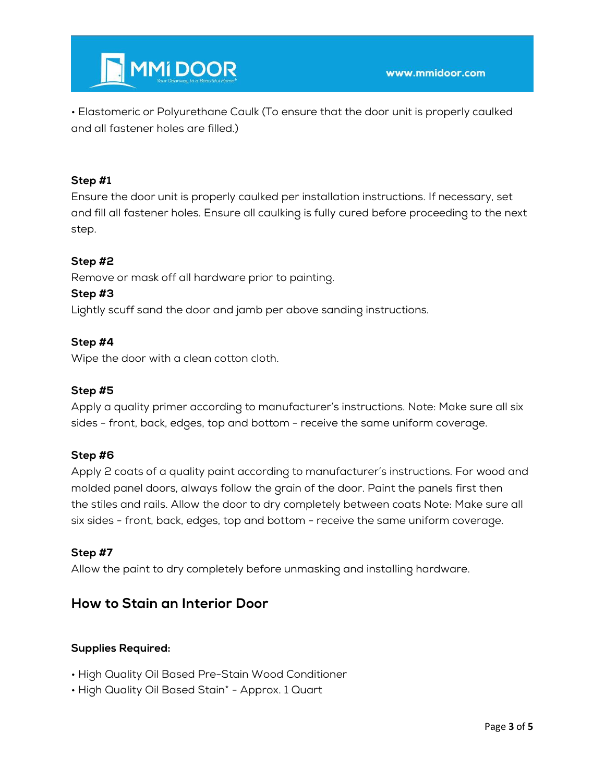

• Elastomeric or Polyurethane Caulk (To ensure that the door unit is properly caulked and all fastener holes are filled.)

## **Step #1**

Ensure the door unit is properly caulked per installation instructions. If necessary, set and fill all fastener holes. Ensure all caulking is fully cured before proceeding to the next step.

## **Step #2**

Remove or mask off all hardware prior to painting.

#### **Step #3**

Lightly scuff sand the door and jamb per above sanding instructions.

## **Step #4**

Wipe the door with a clean cotton cloth.

## **Step #5**

Apply a quality primer according to manufacturer's instructions. Note: Make sure all six sides - front, back, edges, top and bottom - receive the same uniform coverage.

#### **Step #6**

Apply 2 coats of a quality paint according to manufacturer's instructions. For wood and molded panel doors, always follow the grain of the door. Paint the panels first then the stiles and rails. Allow the door to dry completely between coats Note: Make sure all six sides - front, back, edges, top and bottom - receive the same uniform coverage.

#### **Step #7**

Allow the paint to dry completely before unmasking and installing hardware.

# **How to Stain an Interior Door**

#### **Supplies Required:**

- High Quality Oil Based Pre-Stain Wood Conditioner
- High Quality Oil Based Stain\* Approx. 1 Quart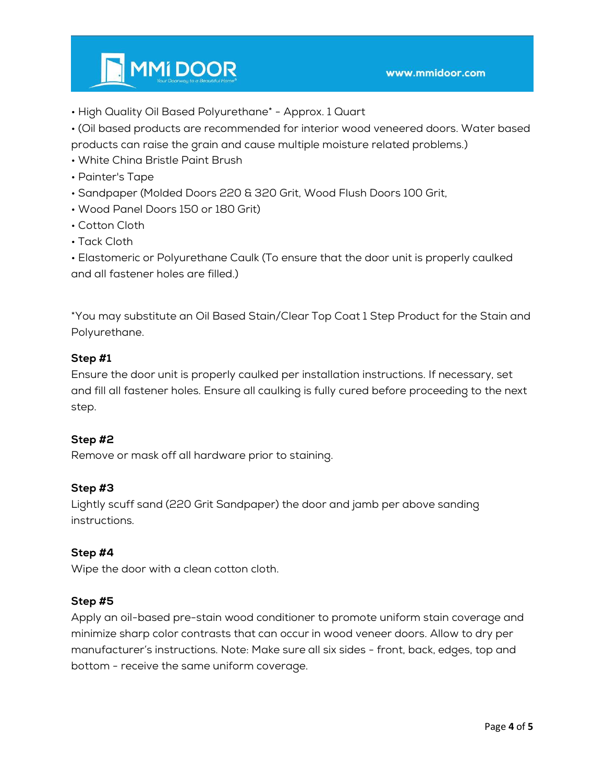

- High Quality Oil Based Polyurethane\* Approx. 1 Quart
- (Oil based products are recommended for interior wood veneered doors. Water based products can raise the grain and cause multiple moisture related problems.)
- White China Bristle Paint Brush
- Painter's Tape
- Sandpaper (Molded Doors 220 & 320 Grit, Wood Flush Doors 100 Grit,
- Wood Panel Doors 150 or 180 Grit)
- Cotton Cloth
- Tack Cloth
- Elastomeric or Polyurethane Caulk (To ensure that the door unit is properly caulked and all fastener holes are filled.)

\*You may substitute an Oil Based Stain/Clear Top Coat 1 Step Product for the Stain and Polyurethane.

# **Step #1**

Ensure the door unit is properly caulked per installation instructions. If necessary, set and fill all fastener holes. Ensure all caulking is fully cured before proceeding to the next step.

# **Step #2**

Remove or mask off all hardware prior to staining.

# **Step #3**

Lightly scuff sand (220 Grit Sandpaper) the door and jamb per above sanding instructions.

# **Step #4**

Wipe the door with a clean cotton cloth.

#### **Step #5**

Apply an oil-based pre-stain wood conditioner to promote uniform stain coverage and minimize sharp color contrasts that can occur in wood veneer doors. Allow to dry per manufacturer's instructions. Note: Make sure all six sides - front, back, edges, top and bottom - receive the same uniform coverage.